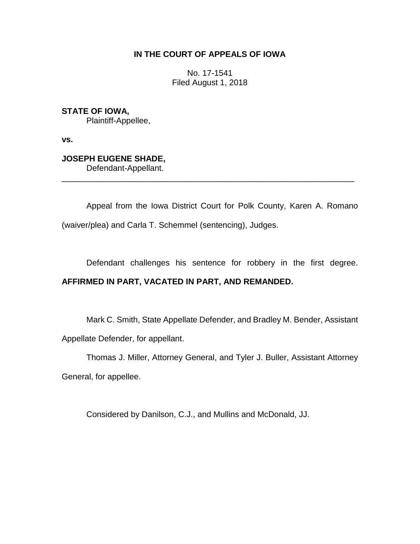## **IN THE COURT OF APPEALS OF IOWA**

No. 17-1541 Filed August 1, 2018

**STATE OF IOWA,** Plaintiff-Appellee,

**vs.**

## **JOSEPH EUGENE SHADE,**

Defendant-Appellant.

Appeal from the Iowa District Court for Polk County, Karen A. Romano (waiver/plea) and Carla T. Schemmel (sentencing), Judges.

\_\_\_\_\_\_\_\_\_\_\_\_\_\_\_\_\_\_\_\_\_\_\_\_\_\_\_\_\_\_\_\_\_\_\_\_\_\_\_\_\_\_\_\_\_\_\_\_\_\_\_\_\_\_\_\_\_\_\_\_\_\_\_\_

Defendant challenges his sentence for robbery in the first degree.

## **AFFIRMED IN PART, VACATED IN PART, AND REMANDED.**

Mark C. Smith, State Appellate Defender, and Bradley M. Bender, Assistant Appellate Defender, for appellant.

Thomas J. Miller, Attorney General, and Tyler J. Buller, Assistant Attorney

General, for appellee.

Considered by Danilson, C.J., and Mullins and McDonald, JJ.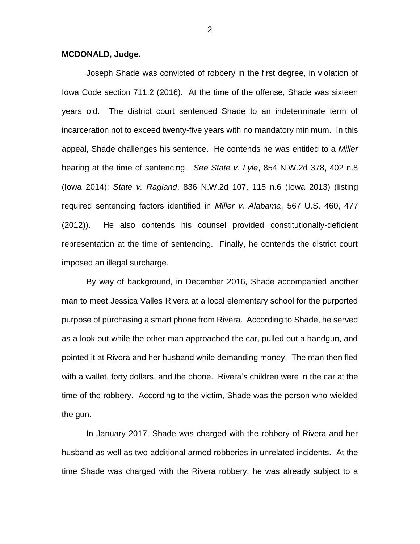## **MCDONALD, Judge.**

Joseph Shade was convicted of robbery in the first degree, in violation of Iowa Code section 711.2 (2016). At the time of the offense, Shade was sixteen years old. The district court sentenced Shade to an indeterminate term of incarceration not to exceed twenty-five years with no mandatory minimum. In this appeal, Shade challenges his sentence. He contends he was entitled to a *Miller* hearing at the time of sentencing. *See State v. Lyle*, 854 N.W.2d 378, 402 n.8 (Iowa 2014); *State v. Ragland*, 836 N.W.2d 107, 115 n.6 (Iowa 2013) (listing required sentencing factors identified in *Miller v. Alabama*, 567 U.S. 460, 477 (2012)). He also contends his counsel provided constitutionally-deficient representation at the time of sentencing. Finally, he contends the district court imposed an illegal surcharge.

By way of background, in December 2016, Shade accompanied another man to meet Jessica Valles Rivera at a local elementary school for the purported purpose of purchasing a smart phone from Rivera. According to Shade, he served as a look out while the other man approached the car, pulled out a handgun, and pointed it at Rivera and her husband while demanding money. The man then fled with a wallet, forty dollars, and the phone. Rivera's children were in the car at the time of the robbery. According to the victim, Shade was the person who wielded the gun.

In January 2017, Shade was charged with the robbery of Rivera and her husband as well as two additional armed robberies in unrelated incidents. At the time Shade was charged with the Rivera robbery, he was already subject to a

2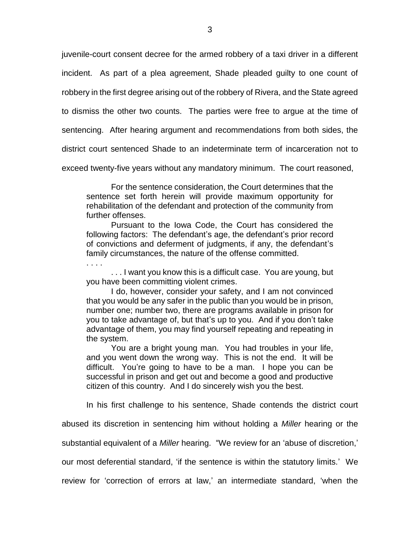juvenile-court consent decree for the armed robbery of a taxi driver in a different incident. As part of a plea agreement, Shade pleaded guilty to one count of robbery in the first degree arising out of the robbery of Rivera, and the State agreed to dismiss the other two counts. The parties were free to argue at the time of sentencing. After hearing argument and recommendations from both sides, the district court sentenced Shade to an indeterminate term of incarceration not to exceed twenty-five years without any mandatory minimum. The court reasoned,

For the sentence consideration, the Court determines that the sentence set forth herein will provide maximum opportunity for rehabilitation of the defendant and protection of the community from further offenses.

Pursuant to the Iowa Code, the Court has considered the following factors: The defendant's age, the defendant's prior record of convictions and deferment of judgments, if any, the defendant's family circumstances, the nature of the offense committed.

. . . I want you know this is a difficult case. You are young, but you have been committing violent crimes.

. . . .

I do, however, consider your safety, and I am not convinced that you would be any safer in the public than you would be in prison, number one; number two, there are programs available in prison for you to take advantage of, but that's up to you. And if you don't take advantage of them, you may find yourself repeating and repeating in the system.

You are a bright young man. You had troubles in your life, and you went down the wrong way. This is not the end. It will be difficult. You're going to have to be a man. I hope you can be successful in prison and get out and become a good and productive citizen of this country. And I do sincerely wish you the best.

In his first challenge to his sentence, Shade contends the district court

abused its discretion in sentencing him without holding a *Miller* hearing or the

substantial equivalent of a *Miller* hearing. "We review for an 'abuse of discretion,'

our most deferential standard, 'if the sentence is within the statutory limits.' We

review for 'correction of errors at law,' an intermediate standard, 'when the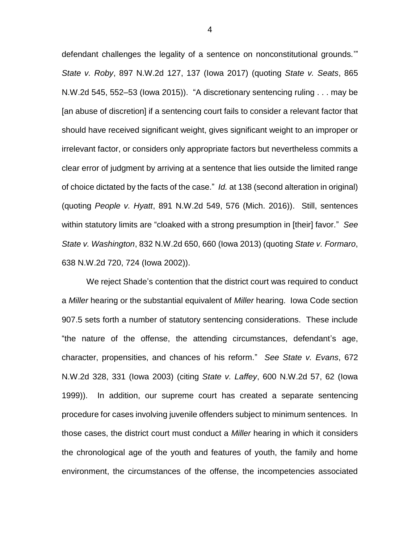defendant challenges the legality of a sentence on nonconstitutional grounds.'" *State v. Roby*, 897 N.W.2d 127, 137 (Iowa 2017) (quoting *State v. Seats*, 865 N.W.2d 545, 552–53 (Iowa 2015)). "A discretionary sentencing ruling . . . may be [an abuse of discretion] if a sentencing court fails to consider a relevant factor that should have received significant weight, gives significant weight to an improper or irrelevant factor, or considers only appropriate factors but nevertheless commits a clear error of judgment by arriving at a sentence that lies outside the limited range of choice dictated by the facts of the case." *Id.* at 138 (second alteration in original) (quoting *People v. Hyatt*, 891 N.W.2d 549, 576 (Mich. 2016)). Still, sentences within statutory limits are "cloaked with a strong presumption in [their] favor." *See State v. Washington*, 832 N.W.2d 650, 660 (Iowa 2013) (quoting *State v. Formaro*, 638 N.W.2d 720, 724 (Iowa 2002)).

We reject Shade's contention that the district court was required to conduct a *Miller* hearing or the substantial equivalent of *Miller* hearing. Iowa Code section 907.5 sets forth a number of statutory sentencing considerations. These include "the nature of the offense, the attending circumstances, defendant's age, character, propensities, and chances of his reform." *See State v. Evans*, 672 N.W.2d 328, 331 (Iowa 2003) (citing *State v. Laffey*, 600 N.W.2d 57, 62 (Iowa 1999)). In addition, our supreme court has created a separate sentencing procedure for cases involving juvenile offenders subject to minimum sentences. In those cases, the district court must conduct a *Miller* hearing in which it considers the chronological age of the youth and features of youth, the family and home environment, the circumstances of the offense, the incompetencies associated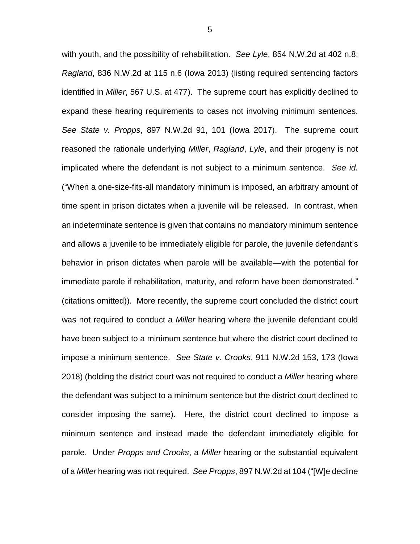with youth, and the possibility of rehabilitation. *See Lyle*, 854 N.W.2d at 402 n.8; *Ragland*, 836 N.W.2d at 115 n.6 (Iowa 2013) (listing required sentencing factors identified in *Miller*, 567 U.S. at 477). The supreme court has explicitly declined to expand these hearing requirements to cases not involving minimum sentences. *See State v. Propps*, 897 N.W.2d 91, 101 (Iowa 2017). The supreme court reasoned the rationale underlying *Miller*, *Ragland*, *Lyle*, and their progeny is not implicated where the defendant is not subject to a minimum sentence. *See id.* ("When a one-size-fits-all mandatory minimum is imposed, an arbitrary amount of time spent in prison dictates when a juvenile will be released. In contrast, when an indeterminate sentence is given that contains no mandatory minimum sentence and allows a juvenile to be immediately eligible for parole, the juvenile defendant's behavior in prison dictates when parole will be available—with the potential for immediate parole if rehabilitation, maturity, and reform have been demonstrated." (citations omitted)). More recently, the supreme court concluded the district court was not required to conduct a *Miller* hearing where the juvenile defendant could have been subject to a minimum sentence but where the district court declined to impose a minimum sentence. *See State v. Crooks*, 911 N.W.2d 153, 173 (Iowa 2018) (holding the district court was not required to conduct a *Miller* hearing where the defendant was subject to a minimum sentence but the district court declined to consider imposing the same). Here, the district court declined to impose a minimum sentence and instead made the defendant immediately eligible for parole. Under *Propps and Crooks*, a *Miller* hearing or the substantial equivalent of a *Miller* hearing was not required. *See Propps*, 897 N.W.2d at 104 ("[W]e decline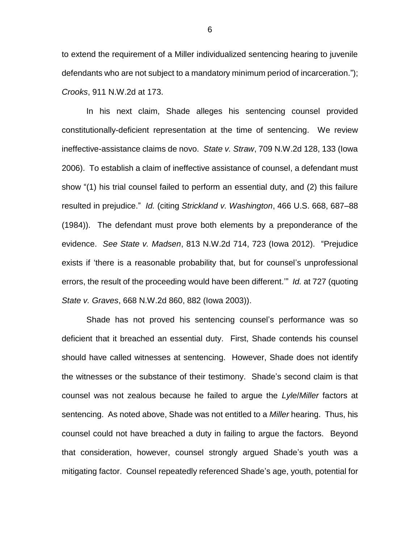to extend the requirement of a Miller individualized sentencing hearing to juvenile defendants who are not subject to a mandatory minimum period of incarceration."); *Crooks*, 911 N.W.2d at 173.

In his next claim, Shade alleges his sentencing counsel provided constitutionally-deficient representation at the time of sentencing. We review ineffective-assistance claims de novo. *State v. Straw*, 709 N.W.2d 128, 133 (Iowa 2006). To establish a claim of ineffective assistance of counsel, a defendant must show "(1) his trial counsel failed to perform an essential duty, and (2) this failure resulted in prejudice." *Id.* (citing *Strickland v. Washington*, 466 U.S. 668, 687–88 (1984)). The defendant must prove both elements by a preponderance of the evidence. *See State v. Madsen*, 813 N.W.2d 714, 723 (Iowa 2012). "Prejudice exists if 'there is a reasonable probability that, but for counsel's unprofessional errors, the result of the proceeding would have been different.'" *Id.* at 727 (quoting *State v. Graves*, 668 N.W.2d 860, 882 (Iowa 2003)).

Shade has not proved his sentencing counsel's performance was so deficient that it breached an essential duty. First, Shade contends his counsel should have called witnesses at sentencing. However, Shade does not identify the witnesses or the substance of their testimony. Shade's second claim is that counsel was not zealous because he failed to argue the *Lyle*/*Miller* factors at sentencing. As noted above, Shade was not entitled to a *Miller* hearing. Thus, his counsel could not have breached a duty in failing to argue the factors. Beyond that consideration, however, counsel strongly argued Shade's youth was a mitigating factor. Counsel repeatedly referenced Shade's age, youth, potential for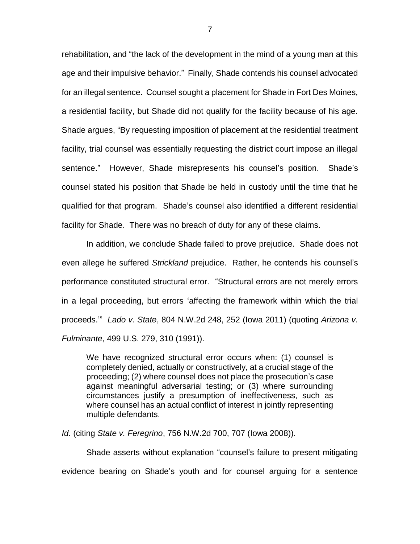rehabilitation, and "the lack of the development in the mind of a young man at this age and their impulsive behavior." Finally, Shade contends his counsel advocated for an illegal sentence. Counsel sought a placement for Shade in Fort Des Moines, a residential facility, but Shade did not qualify for the facility because of his age. Shade argues, "By requesting imposition of placement at the residential treatment facility, trial counsel was essentially requesting the district court impose an illegal sentence." However, Shade misrepresents his counsel's position. Shade's counsel stated his position that Shade be held in custody until the time that he qualified for that program. Shade's counsel also identified a different residential facility for Shade. There was no breach of duty for any of these claims.

In addition, we conclude Shade failed to prove prejudice. Shade does not even allege he suffered *Strickland* prejudice. Rather, he contends his counsel's performance constituted structural error. "Structural errors are not merely errors in a legal proceeding, but errors 'affecting the framework within which the trial proceeds.'" *Lado v. State*, 804 N.W.2d 248, 252 (Iowa 2011) (quoting *Arizona v. Fulminante*, 499 U.S. 279, 310 (1991)).

We have recognized structural error occurs when: (1) counsel is completely denied, actually or constructively, at a crucial stage of the proceeding; (2) where counsel does not place the prosecution's case against meaningful adversarial testing; or (3) where surrounding circumstances justify a presumption of ineffectiveness, such as where counsel has an actual conflict of interest in jointly representing multiple defendants.

*Id.* (citing *State v. Feregrino*, 756 N.W.2d 700, 707 (Iowa 2008)).

Shade asserts without explanation "counsel's failure to present mitigating evidence bearing on Shade's youth and for counsel arguing for a sentence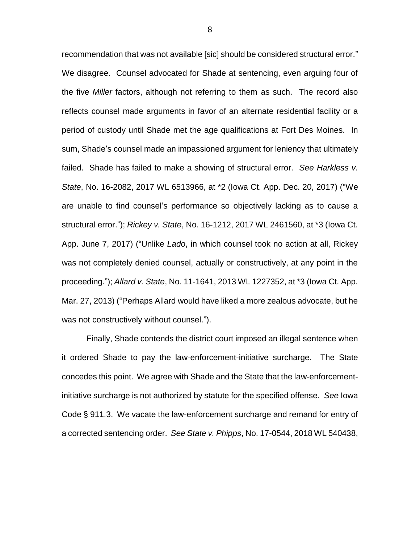recommendation that was not available [sic] should be considered structural error." We disagree. Counsel advocated for Shade at sentencing, even arguing four of the five *Miller* factors, although not referring to them as such. The record also reflects counsel made arguments in favor of an alternate residential facility or a period of custody until Shade met the age qualifications at Fort Des Moines. In sum, Shade's counsel made an impassioned argument for leniency that ultimately failed. Shade has failed to make a showing of structural error. *See Harkless v. State*, No. 16-2082, 2017 WL 6513966, at \*2 (Iowa Ct. App. Dec. 20, 2017) ("We are unable to find counsel's performance so objectively lacking as to cause a structural error."); *Rickey v. State*, No. 16-1212, 2017 WL 2461560, at \*3 (Iowa Ct. App. June 7, 2017) ("Unlike *Lado*, in which counsel took no action at all, Rickey was not completely denied counsel, actually or constructively, at any point in the proceeding."); *Allard v. State*, No. 11-1641, 2013 WL 1227352, at \*3 (Iowa Ct. App. Mar. 27, 2013) ("Perhaps Allard would have liked a more zealous advocate, but he was not constructively without counsel.").

Finally, Shade contends the district court imposed an illegal sentence when it ordered Shade to pay the law-enforcement-initiative surcharge. The State concedes this point. We agree with Shade and the State that the law-enforcementinitiative surcharge is not authorized by statute for the specified offense. *See* Iowa Code § 911.3. We vacate the law-enforcement surcharge and remand for entry of a corrected sentencing order. *See State v. Phipps*, No. 17-0544, 2018 WL 540438,

8